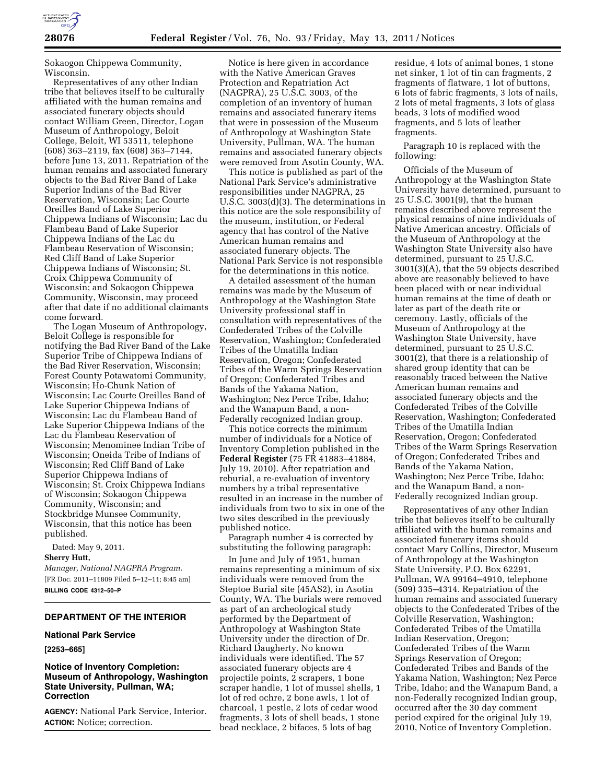

Sokaogon Chippewa Community, Wisconsin.

Representatives of any other Indian tribe that believes itself to be culturally affiliated with the human remains and associated funerary objects should contact William Green, Director, Logan Museum of Anthropology, Beloit College, Beloit, WI 53511, telephone (608) 363–2119, fax (608) 363–7144, before June 13, 2011. Repatriation of the human remains and associated funerary objects to the Bad River Band of Lake Superior Indians of the Bad River Reservation, Wisconsin; Lac Courte Oreilles Band of Lake Superior Chippewa Indians of Wisconsin; Lac du Flambeau Band of Lake Superior Chippewa Indians of the Lac du Flambeau Reservation of Wisconsin; Red Cliff Band of Lake Superior Chippewa Indians of Wisconsin; St. Croix Chippewa Community of Wisconsin; and Sokaogon Chippewa Community, Wisconsin, may proceed after that date if no additional claimants come forward.

The Logan Museum of Anthropology, Beloit College is responsible for notifying the Bad River Band of the Lake Superior Tribe of Chippewa Indians of the Bad River Reservation, Wisconsin; Forest County Potawatomi Community, Wisconsin; Ho-Chunk Nation of Wisconsin; Lac Courte Oreilles Band of Lake Superior Chippewa Indians of Wisconsin; Lac du Flambeau Band of Lake Superior Chippewa Indians of the Lac du Flambeau Reservation of Wisconsin; Menominee Indian Tribe of Wisconsin; Oneida Tribe of Indians of Wisconsin; Red Cliff Band of Lake Superior Chippewa Indians of Wisconsin; St. Croix Chippewa Indians of Wisconsin; Sokaogon Chippewa Community, Wisconsin; and Stockbridge Munsee Community, Wisconsin, that this notice has been published.

Dated: May 9, 2011.

#### **Sherry Hutt,**

*Manager, National NAGPRA Program.*  [FR Doc. 2011–11809 Filed 5–12–11; 8:45 am] **BILLING CODE 4312–50–P** 

### **DEPARTMENT OF THE INTERIOR**

#### **National Park Service**

#### **[2253–665]**

## **Notice of Inventory Completion: Museum of Anthropology, Washington State University, Pullman, WA; Correction**

**AGENCY:** National Park Service, Interior. **ACTION:** Notice; correction.

Notice is here given in accordance with the Native American Graves Protection and Repatriation Act (NAGPRA), 25 U.S.C. 3003, of the completion of an inventory of human remains and associated funerary items that were in possession of the Museum of Anthropology at Washington State University, Pullman, WA. The human remains and associated funerary objects were removed from Asotin County, WA.

This notice is published as part of the National Park Service's administrative responsibilities under NAGPRA, 25 U.S.C. 3003(d)(3). The determinations in this notice are the sole responsibility of the museum, institution, or Federal agency that has control of the Native American human remains and associated funerary objects. The National Park Service is not responsible for the determinations in this notice.

A detailed assessment of the human remains was made by the Museum of Anthropology at the Washington State University professional staff in consultation with representatives of the Confederated Tribes of the Colville Reservation, Washington; Confederated Tribes of the Umatilla Indian Reservation, Oregon; Confederated Tribes of the Warm Springs Reservation of Oregon; Confederated Tribes and Bands of the Yakama Nation, Washington; Nez Perce Tribe, Idaho; and the Wanapum Band, a non-Federally recognized Indian group.

This notice corrects the minimum number of individuals for a Notice of Inventory Completion published in the **Federal Register** (75 FR 41883–41884, July 19, 2010). After repatriation and reburial, a re-evaluation of inventory numbers by a tribal representative resulted in an increase in the number of individuals from two to six in one of the two sites described in the previously published notice.

Paragraph number 4 is corrected by substituting the following paragraph:

In June and July of 1951, human remains representing a minimum of six individuals were removed from the Steptoe Burial site (45AS2), in Asotin County, WA. The burials were removed as part of an archeological study performed by the Department of Anthropology at Washington State University under the direction of Dr. Richard Daugherty. No known individuals were identified. The 57 associated funerary objects are 4 projectile points, 2 scrapers, 1 bone scraper handle, 1 lot of mussel shells, 1 lot of red ochre, 2 bone awls, 1 lot of charcoal, 1 pestle, 2 lots of cedar wood fragments, 3 lots of shell beads, 1 stone bead necklace, 2 bifaces, 5 lots of bag

residue, 4 lots of animal bones, 1 stone net sinker, 1 lot of tin can fragments, 2 fragments of flatware, 1 lot of buttons, 6 lots of fabric fragments, 3 lots of nails, 2 lots of metal fragments, 3 lots of glass beads, 3 lots of modified wood fragments, and 5 lots of leather fragments.

Paragraph 10 is replaced with the following:

Officials of the Museum of Anthropology at the Washington State University have determined, pursuant to 25 U.S.C. 3001(9), that the human remains described above represent the physical remains of nine individuals of Native American ancestry. Officials of the Museum of Anthropology at the Washington State University also have determined, pursuant to 25 U.S.C. 3001(3)(A), that the 59 objects described above are reasonably believed to have been placed with or near individual human remains at the time of death or later as part of the death rite or ceremony. Lastly, officials of the Museum of Anthropology at the Washington State University, have determined, pursuant to 25 U.S.C. 3001(2), that there is a relationship of shared group identity that can be reasonably traced between the Native American human remains and associated funerary objects and the Confederated Tribes of the Colville Reservation, Washington; Confederated Tribes of the Umatilla Indian Reservation, Oregon; Confederated Tribes of the Warm Springs Reservation of Oregon; Confederated Tribes and Bands of the Yakama Nation, Washington; Nez Perce Tribe, Idaho; and the Wanapum Band, a non-Federally recognized Indian group.

Representatives of any other Indian tribe that believes itself to be culturally affiliated with the human remains and associated funerary items should contact Mary Collins, Director, Museum of Anthropology at the Washington State University, P.O. Box 62291, Pullman, WA 99164–4910, telephone (509) 335–4314. Repatriation of the human remains and associated funerary objects to the Confederated Tribes of the Colville Reservation, Washington; Confederated Tribes of the Umatilla Indian Reservation, Oregon; Confederated Tribes of the Warm Springs Reservation of Oregon; Confederated Tribes and Bands of the Yakama Nation, Washington; Nez Perce Tribe, Idaho; and the Wanapum Band, a non-Federally recognized Indian group, occurred after the 30 day comment period expired for the original July 19, 2010, Notice of Inventory Completion.